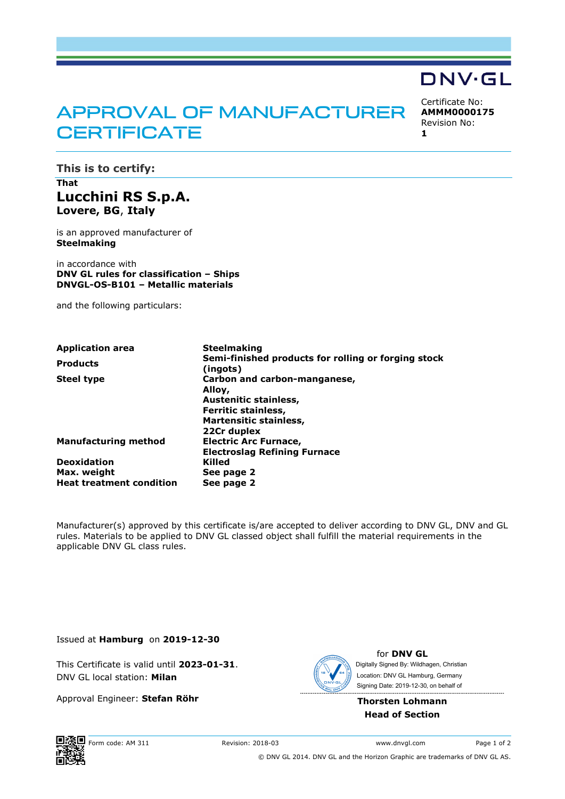## APPROVAL OF MANUFACTURER **CERTIFICATE**

Certificate No: **AMMM0000175** Revision No:

DNV·GL

**1** 

**This is to certify:** 

## **That Lucchini RS S.p.A. Lovere, BG**, **Italy**

is an approved manufacturer of **Steelmaking**

in accordance with **DNV GL rules for classification – Ships DNVGL-OS-B101 – Metallic materials**

and the following particulars:

| <b>Application area</b>         | <b>Steelmaking</b><br>Semi-finished products for rolling or forging stock<br>(ingots) |  |  |  |
|---------------------------------|---------------------------------------------------------------------------------------|--|--|--|
| <b>Products</b>                 |                                                                                       |  |  |  |
| <b>Steel type</b>               | Carbon and carbon-manganese,<br>Alloy,                                                |  |  |  |
|                                 | Austenitic stainless,                                                                 |  |  |  |
|                                 | Ferritic stainless,                                                                   |  |  |  |
|                                 | <b>Martensitic stainless,</b>                                                         |  |  |  |
|                                 | 22Cr duplex                                                                           |  |  |  |
| <b>Manufacturing method</b>     | <b>Electric Arc Furnace,</b>                                                          |  |  |  |
|                                 | <b>Electroslag Refining Furnace</b>                                                   |  |  |  |
| <b>Deoxidation</b>              | Killed                                                                                |  |  |  |
| Max. weight                     | See page 2                                                                            |  |  |  |
| <b>Heat treatment condition</b> | See page 2                                                                            |  |  |  |

Manufacturer(s) approved by this certificate is/are accepted to deliver according to DNV GL, DNV and GL rules. Materials to be applied to DNV GL classed object shall fulfill the material requirements in the applicable DNV GL class rules.

Issued at **Hamburg** on **2019-12-30**

This Certificate is valid until **2023-01-31**. DNV GL local station: **Milan**

Approval Engineer: **Stefan Röhr**



for **DNV GL** Signing Date: 2019-12-30 , on behalf ofDigitally Signed By: Wildhagen, Christian Location: DNV GL Hamburg, Germany

**Thorsten Lohmann Head of Section**

Form code: AM 311 Revision: 2018-03 www.dnvgl.com Page 1 of 2

© DNV GL 2014. DNV GL and the Horizon Graphic are trademarks of DNV GL AS.